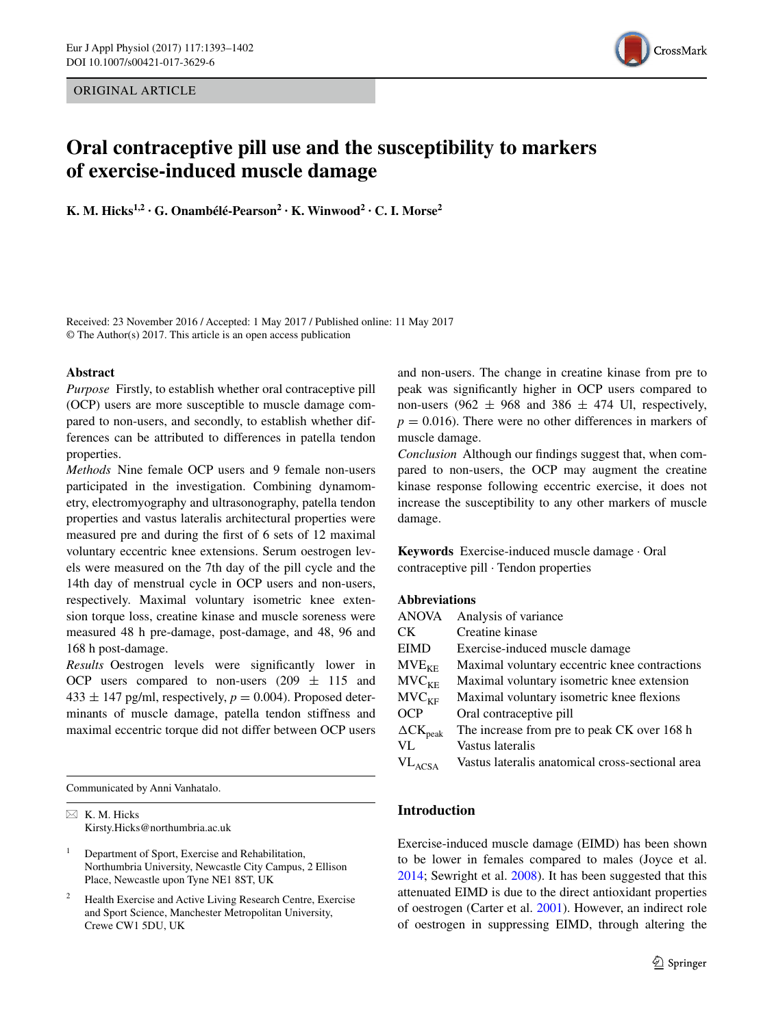ORIGINAL ARTICLE



# **Oral contraceptive pill use and the susceptibility to markers of exercise‑induced muscle damage**

**K. M. Hicks1,2 · G. Onambélé‑Pearson2 · K. Winwood2 · C. I. Morse2**

Received: 23 November 2016 / Accepted: 1 May 2017 / Published online: 11 May 2017 © The Author(s) 2017. This article is an open access publication

## **Abstract**

*Purpose* Firstly, to establish whether oral contraceptive pill (OCP) users are more susceptible to muscle damage compared to non-users, and secondly, to establish whether differences can be attributed to differences in patella tendon properties.

*Methods* Nine female OCP users and 9 female non-users participated in the investigation. Combining dynamometry, electromyography and ultrasonography, patella tendon properties and vastus lateralis architectural properties were measured pre and during the frst of 6 sets of 12 maximal voluntary eccentric knee extensions. Serum oestrogen levels were measured on the 7th day of the pill cycle and the 14th day of menstrual cycle in OCP users and non-users, respectively. Maximal voluntary isometric knee extension torque loss, creatine kinase and muscle soreness were measured 48 h pre-damage, post-damage, and 48, 96 and 168 h post-damage.

*Results* Oestrogen levels were signifcantly lower in OCP users compared to non-users  $(209 \pm 115)$  and  $433 \pm 147$  pg/ml, respectively,  $p = 0.004$ ). Proposed determinants of muscle damage, patella tendon stiffness and maximal eccentric torque did not differ between OCP users

Communicated by Anni Vanhatalo.

 $\boxtimes$  K. M. Hicks Kirsty.Hicks@northumbria.ac.uk and non-users. The change in creatine kinase from pre to peak was signifcantly higher in OCP users compared to non-users (962  $\pm$  968 and 386  $\pm$  474 Ul, respectively,  $p = 0.016$ . There were no other differences in markers of muscle damage.

*Conclusion* Although our fndings suggest that, when compared to non-users, the OCP may augment the creatine kinase response following eccentric exercise, it does not increase the susceptibility to any other markers of muscle damage.

**Keywords** Exercise-induced muscle damage · Oral contraceptive pill · Tendon properties

## **Abbreviations**

| <b>ANOVA</b>                | Analysis of variance                             |
|-----------------------------|--------------------------------------------------|
| CK.                         | Creatine kinase                                  |
| <b>EIMD</b>                 | Exercise-induced muscle damage                   |
| $MVE_{KE}$                  | Maximal voluntary eccentric knee contractions    |
| MVC <sub>KE</sub>           | Maximal voluntary isometric knee extension       |
| MVC <sub>KF</sub>           | Maximal voluntary isometric knee flexions        |
| <b>OCP</b>                  | Oral contraceptive pill                          |
| $\Delta$ CK <sub>peak</sub> | The increase from pre to peak CK over 168 h      |
| VL                          | Vastus lateralis                                 |
| $VL_{ACSA}$                 | Vastus lateralis anatomical cross-sectional area |

# **Introduction**

Exercise-induced muscle damage (EIMD) has been shown to be lower in females compared to males (Joyce et al. [2014](#page-9-0); Sewright et al. [2008\)](#page-9-1). It has been suggested that this attenuated EIMD is due to the direct antioxidant properties of oestrogen (Carter et al. [2001](#page-9-2)). However, an indirect role of oestrogen in suppressing EIMD, through altering the

<sup>&</sup>lt;sup>1</sup> Department of Sport, Exercise and Rehabilitation, Northumbria University, Newcastle City Campus, 2 Ellison Place, Newcastle upon Tyne NE1 8ST, UK

Health Exercise and Active Living Research Centre, Exercise and Sport Science, Manchester Metropolitan University, Crewe CW1 5DU, UK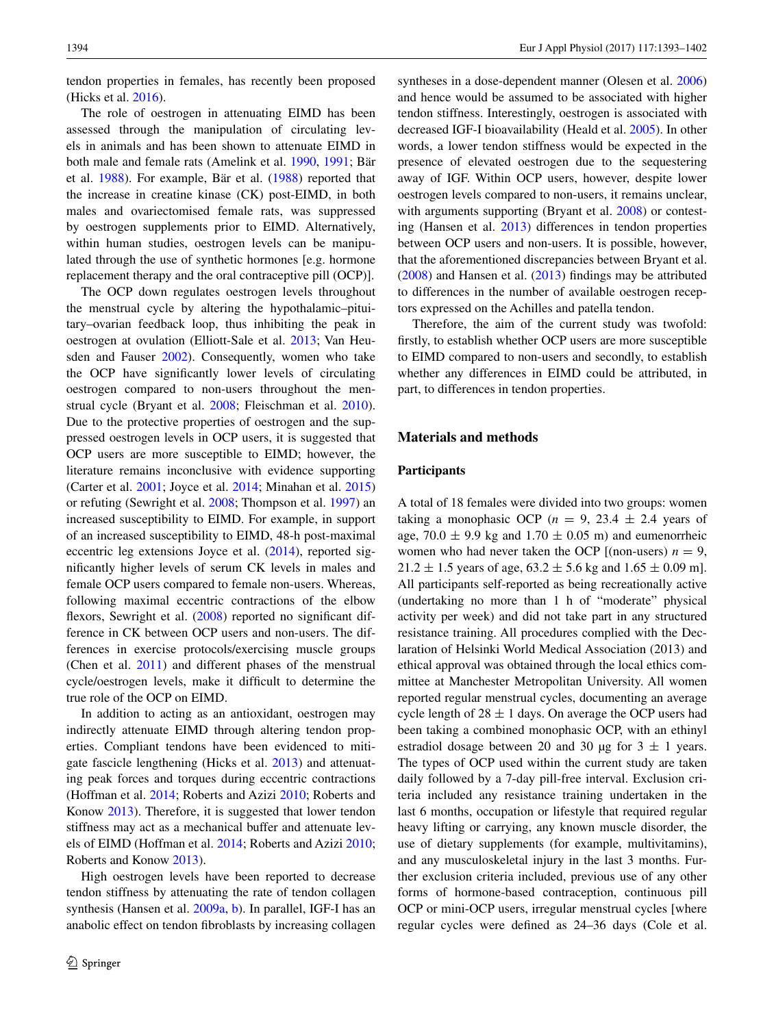tendon properties in females, has recently been proposed (Hicks et al. [2016](#page-9-3)).

The role of oestrogen in attenuating EIMD has been assessed through the manipulation of circulating levels in animals and has been shown to attenuate EIMD in both male and female rats (Amelink et al. [1990](#page-8-0), [1991;](#page-8-1) Bär et al. [1988\)](#page-8-2). For example, Bär et al. ([1988\)](#page-8-2) reported that the increase in creatine kinase (CK) post-EIMD, in both males and ovariectomised female rats, was suppressed by oestrogen supplements prior to EIMD. Alternatively, within human studies, oestrogen levels can be manipulated through the use of synthetic hormones [e.g. hormone replacement therapy and the oral contraceptive pill (OCP)].

The OCP down regulates oestrogen levels throughout the menstrual cycle by altering the hypothalamic–pituitary–ovarian feedback loop, thus inhibiting the peak in oestrogen at ovulation (Elliott-Sale et al. [2013;](#page-9-4) Van Heusden and Fauser [2002](#page-9-5)). Consequently, women who take the OCP have signifcantly lower levels of circulating oestrogen compared to non-users throughout the menstrual cycle (Bryant et al. [2008;](#page-9-6) Fleischman et al. [2010](#page-9-7)). Due to the protective properties of oestrogen and the suppressed oestrogen levels in OCP users, it is suggested that OCP users are more susceptible to EIMD; however, the literature remains inconclusive with evidence supporting (Carter et al. [2001;](#page-9-2) Joyce et al. [2014;](#page-9-0) Minahan et al. [2015\)](#page-9-8) or refuting (Sewright et al. [2008;](#page-9-1) Thompson et al. [1997\)](#page-9-9) an increased susceptibility to EIMD. For example, in support of an increased susceptibility to EIMD, 48-h post-maximal eccentric leg extensions Joyce et al. [\(2014](#page-9-0)), reported signifcantly higher levels of serum CK levels in males and female OCP users compared to female non-users. Whereas, following maximal eccentric contractions of the elbow flexors, Sewright et al. ([2008\)](#page-9-1) reported no significant difference in CK between OCP users and non-users. The differences in exercise protocols/exercising muscle groups (Chen et al. [2011](#page-9-10)) and different phases of the menstrual cycle/oestrogen levels, make it difficult to determine the true role of the OCP on EIMD.

In addition to acting as an antioxidant, oestrogen may indirectly attenuate EIMD through altering tendon properties. Compliant tendons have been evidenced to mitigate fascicle lengthening (Hicks et al. [2013\)](#page-9-11) and attenuating peak forces and torques during eccentric contractions (Hoffman et al. [2014](#page-9-12); Roberts and Azizi [2010](#page-9-13); Roberts and Konow [2013](#page-9-14)). Therefore, it is suggested that lower tendon stiffness may act as a mechanical buffer and attenuate levels of EIMD (Hoffman et al. [2014](#page-9-12); Roberts and Azizi [2010](#page-9-13); Roberts and Konow [2013\)](#page-9-14).

High oestrogen levels have been reported to decrease tendon stiffness by attenuating the rate of tendon collagen synthesis (Hansen et al. [2009a](#page-9-15), [b](#page-9-16)). In parallel, IGF-I has an anabolic effect on tendon fbroblasts by increasing collagen

syntheses in a dose-dependent manner (Olesen et al. [2006\)](#page-9-17) and hence would be assumed to be associated with higher tendon stiffness. Interestingly, oestrogen is associated with decreased IGF-I bioavailability (Heald et al. [2005\)](#page-9-18). In other words, a lower tendon stiffness would be expected in the presence of elevated oestrogen due to the sequestering away of IGF. Within OCP users, however, despite lower oestrogen levels compared to non-users, it remains unclear, with arguments supporting (Bryant et al. [2008\)](#page-9-6) or contesting (Hansen et al. [2013](#page-9-19)) differences in tendon properties between OCP users and non-users. It is possible, however, that the aforementioned discrepancies between Bryant et al. [\(2008](#page-9-6)) and Hansen et al. [\(2013](#page-9-19)) fndings may be attributed to differences in the number of available oestrogen receptors expressed on the Achilles and patella tendon.

Therefore, the aim of the current study was twofold: frstly, to establish whether OCP users are more susceptible to EIMD compared to non-users and secondly, to establish whether any differences in EIMD could be attributed, in part, to differences in tendon properties.

## **Materials and methods**

#### **Participants**

A total of 18 females were divided into two groups: women taking a monophasic OCP ( $n = 9$ , 23.4  $\pm$  2.4 years of age,  $70.0 \pm 9.9$  kg and  $1.70 \pm 0.05$  m) and eumenorrheic women who had never taken the OCP  $[$ (non-users)  $n = 9$ ,  $21.2 \pm 1.5$  years of age,  $63.2 \pm 5.6$  kg and  $1.65 \pm 0.09$  m]. All participants self-reported as being recreationally active (undertaking no more than 1 h of "moderate" physical activity per week) and did not take part in any structured resistance training. All procedures complied with the Declaration of Helsinki World Medical Association (2013) and ethical approval was obtained through the local ethics committee at Manchester Metropolitan University. All women reported regular menstrual cycles, documenting an average cycle length of  $28 \pm 1$  days. On average the OCP users had been taking a combined monophasic OCP, with an ethinyl estradiol dosage between 20 and 30 µg for  $3 \pm 1$  years. The types of OCP used within the current study are taken daily followed by a 7-day pill-free interval. Exclusion criteria included any resistance training undertaken in the last 6 months, occupation or lifestyle that required regular heavy lifting or carrying, any known muscle disorder, the use of dietary supplements (for example, multivitamins), and any musculoskeletal injury in the last 3 months. Further exclusion criteria included, previous use of any other forms of hormone-based contraception, continuous pill OCP or mini-OCP users, irregular menstrual cycles [where regular cycles were defned as 24–36 days (Cole et al.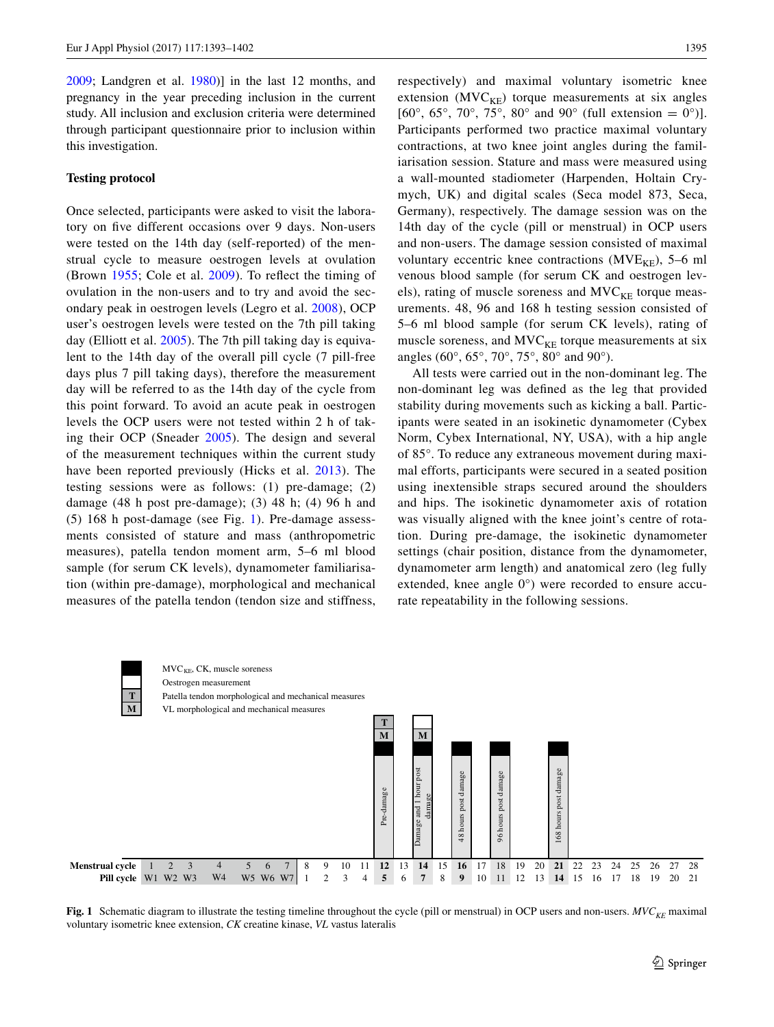[2009](#page-9-20); Landgren et al. [1980](#page-9-21))] in the last 12 months, and pregnancy in the year preceding inclusion in the current study. All inclusion and exclusion criteria were determined through participant questionnaire prior to inclusion within this investigation.

# **Testing protocol**

Once selected, participants were asked to visit the laboratory on fve different occasions over 9 days. Non-users were tested on the 14th day (self-reported) of the menstrual cycle to measure oestrogen levels at ovulation (Brown [1955](#page-9-22); Cole et al. [2009\)](#page-9-20). To refect the timing of ovulation in the non-users and to try and avoid the secondary peak in oestrogen levels (Legro et al. [2008](#page-9-23)), OCP user's oestrogen levels were tested on the 7th pill taking day (Elliott et al. [2005\)](#page-9-24). The 7th pill taking day is equivalent to the 14th day of the overall pill cycle (7 pill-free days plus 7 pill taking days), therefore the measurement day will be referred to as the 14th day of the cycle from this point forward. To avoid an acute peak in oestrogen levels the OCP users were not tested within 2 h of taking their OCP (Sneader [2005\)](#page-9-25). The design and several of the measurement techniques within the current study have been reported previously (Hicks et al. [2013](#page-9-11)). The testing sessions were as follows: (1) pre-damage; (2) damage (48 h post pre-damage); (3) 48 h; (4) 96 h and (5) 168 h post-damage (see Fig. [1\)](#page-2-0). Pre-damage assessments consisted of stature and mass (anthropometric measures), patella tendon moment arm, 5–6 ml blood sample (for serum CK levels), dynamometer familiarisation (within pre-damage), morphological and mechanical measures of the patella tendon (tendon size and stiffness, respectively) and maximal voluntary isometric knee extension  $(MVC<sub>KE</sub>)$  torque measurements at six angles [60°, 65°, 70°, 75°, 80° and 90° (full extension = 0°)]. Participants performed two practice maximal voluntary contractions, at two knee joint angles during the familiarisation session. Stature and mass were measured using a wall-mounted stadiometer (Harpenden, Holtain Crymych, UK) and digital scales (Seca model 873, Seca, Germany), respectively. The damage session was on the 14th day of the cycle (pill or menstrual) in OCP users and non-users. The damage session consisted of maximal voluntary eccentric knee contractions ( $MVE_{KF}$ ), 5–6 ml venous blood sample (for serum CK and oestrogen levels), rating of muscle soreness and  $MVC_{KE}$  torque measurements. 48, 96 and 168 h testing session consisted of 5–6 ml blood sample (for serum CK levels), rating of muscle soreness, and  $MVC_{KF}$  torque measurements at six angles (60°, 65°, 70°, 75°, 80° and 90°).

All tests were carried out in the non-dominant leg. The non-dominant leg was defned as the leg that provided stability during movements such as kicking a ball. Participants were seated in an isokinetic dynamometer (Cybex Norm, Cybex International, NY, USA), with a hip angle of 85°. To reduce any extraneous movement during maximal efforts, participants were secured in a seated position using inextensible straps secured around the shoulders and hips. The isokinetic dynamometer axis of rotation was visually aligned with the knee joint's centre of rotation. During pre-damage, the isokinetic dynamometer settings (chair position, distance from the dynamometer, dynamometer arm length) and anatomical zero (leg fully extended, knee angle 0°) were recorded to ensure accurate repeatability in the following sessions.



<span id="page-2-0"></span>Fig. 1 Schematic diagram to illustrate the testing timeline throughout the cycle (pill or menstrual) in OCP users and non-users. *MVC<sub>KE</sub>* maximal voluntary isometric knee extension, *CK* creatine kinase, *VL* vastus lateralis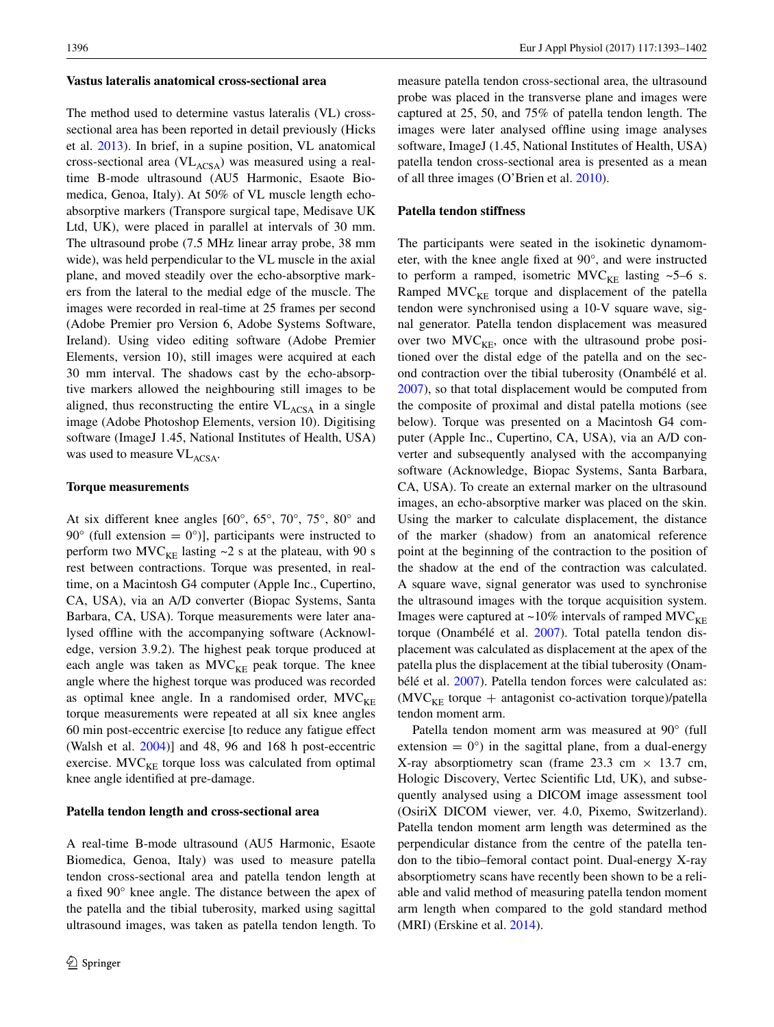#### **Vastus lateralis anatomical cross‑sectional area**

The method used to determine vastus lateralis (VL) crosssectional area has been reported in detail previously (Hicks et al. [2013](#page-9-11)). In brief, in a supine position, VL anatomical cross-sectional area  $(VL_{ACSA})$  was measured using a realtime B-mode ultrasound (AU5 Harmonic, Esaote Biomedica, Genoa, Italy). At 50% of VL muscle length echoabsorptive markers (Transpore surgical tape, Medisave UK Ltd, UK), were placed in parallel at intervals of 30 mm. The ultrasound probe (7.5 MHz linear array probe, 38 mm wide), was held perpendicular to the VL muscle in the axial plane, and moved steadily over the echo-absorptive markers from the lateral to the medial edge of the muscle. The images were recorded in real-time at 25 frames per second (Adobe Premier pro Version 6, Adobe Systems Software, Ireland). Using video editing software (Adobe Premier Elements, version 10), still images were acquired at each 30 mm interval. The shadows cast by the echo-absorptive markers allowed the neighbouring still images to be aligned, thus reconstructing the entire  $VL<sub>ACSA</sub>$  in a single image (Adobe Photoshop Elements, version 10). Digitising software (ImageJ 1.45, National Institutes of Health, USA) was used to measure  $VL<sub>ACSA</sub>$ .

#### **Torque measurements**

At six different knee angles [60°, 65°, 70°, 75°, 80° and 90 $^{\circ}$  (full extension = 0 $^{\circ}$ )], participants were instructed to perform two MVC<sub>KE</sub> lasting  $\sim$ 2 s at the plateau, with 90 s rest between contractions. Torque was presented, in realtime, on a Macintosh G4 computer (Apple Inc., Cupertino, CA, USA), via an A/D converter (Biopac Systems, Santa Barbara, CA, USA). Torque measurements were later analysed offine with the accompanying software (Acknowledge, version 3.9.2). The highest peak torque produced at each angle was taken as  $MVC<sub>KE</sub>$  peak torque. The knee angle where the highest torque was produced was recorded as optimal knee angle. In a randomised order,  $MVC_{KF}$ torque measurements were repeated at all six knee angles 60 min post-eccentric exercise [to reduce any fatigue effect (Walsh et al. [2004\)](#page-9-26)] and 48, 96 and 168 h post-eccentric exercise.  $MVC_{KE}$  torque loss was calculated from optimal knee angle identifed at pre-damage.

#### **Patella tendon length and cross‑sectional area**

A real-time B-mode ultrasound (AU5 Harmonic, Esaote Biomedica, Genoa, Italy) was used to measure patella tendon cross-sectional area and patella tendon length at a fxed 90° knee angle. The distance between the apex of the patella and the tibial tuberosity, marked using sagittal ultrasound images, was taken as patella tendon length. To measure patella tendon cross-sectional area, the ultrasound probe was placed in the transverse plane and images were captured at 25, 50, and 75% of patella tendon length. The images were later analysed offine using image analyses software, ImageJ (1.45, National Institutes of Health, USA) patella tendon cross-sectional area is presented as a mean of all three images (O'Brien et al. [2010](#page-9-27)).

## **Patella tendon stiffness**

The participants were seated in the isokinetic dynamometer, with the knee angle fxed at 90°, and were instructed to perform a ramped, isometric MVC<sub>KE</sub> lasting  $\sim$ 5–6 s. Ramped  $MVC<sub>KE</sub>$  torque and displacement of the patella tendon were synchronised using a 10-V square wave, signal generator. Patella tendon displacement was measured over two  $MVC_{KF}$ , once with the ultrasound probe positioned over the distal edge of the patella and on the second contraction over the tibial tuberosity (Onambélé et al. [2007](#page-9-28)), so that total displacement would be computed from the composite of proximal and distal patella motions (see below). Torque was presented on a Macintosh G4 computer (Apple Inc., Cupertino, CA, USA), via an A/D converter and subsequently analysed with the accompanying software (Acknowledge, Biopac Systems, Santa Barbara, CA, USA). To create an external marker on the ultrasound images, an echo-absorptive marker was placed on the skin. Using the marker to calculate displacement, the distance of the marker (shadow) from an anatomical reference point at the beginning of the contraction to the position of the shadow at the end of the contraction was calculated. A square wave, signal generator was used to synchronise the ultrasound images with the torque acquisition system. Images were captured at  $\sim$ 10% intervals of ramped MVC<sub>KE</sub> torque (Onambélé et al. [2007](#page-9-28)). Total patella tendon displacement was calculated as displacement at the apex of the patella plus the displacement at the tibial tuberosity (Onambélé et al. [2007](#page-9-28)). Patella tendon forces were calculated as:  $(MVC<sub>KE</sub>$  torque + antagonist co-activation torque)/patella tendon moment arm.

Patella tendon moment arm was measured at 90° (full extension  $= 0^{\circ}$  in the sagittal plane, from a dual-energy X-ray absorptiometry scan (frame  $23.3 \text{ cm} \times 13.7 \text{ cm}$ , Hologic Discovery, Vertec Scientifc Ltd, UK), and subsequently analysed using a DICOM image assessment tool (OsiriX DICOM viewer, ver. 4.0, Pixemo, Switzerland). Patella tendon moment arm length was determined as the perpendicular distance from the centre of the patella tendon to the tibio–femoral contact point. Dual-energy X-ray absorptiometry scans have recently been shown to be a reliable and valid method of measuring patella tendon moment arm length when compared to the gold standard method (MRI) (Erskine et al. [2014\)](#page-9-29).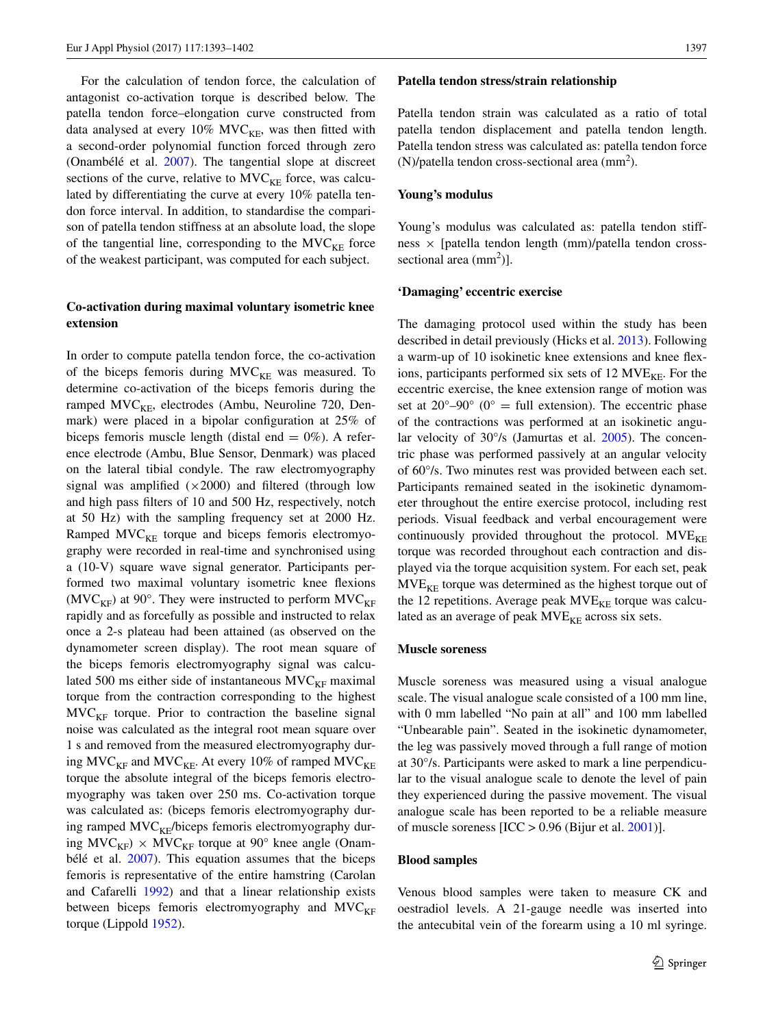For the calculation of tendon force, the calculation of antagonist co-activation torque is described below. The patella tendon force–elongation curve constructed from data analysed at every  $10\%$  MVC<sub>KE</sub>, was then fitted with a second-order polynomial function forced through zero (Onambélé et al. [2007](#page-9-28)). The tangential slope at discreet sections of the curve, relative to  $MVC_{KF}$  force, was calculated by differentiating the curve at every 10% patella tendon force interval. In addition, to standardise the comparison of patella tendon stiffness at an absolute load, the slope of the tangential line, corresponding to the  $MVC<sub>KE</sub>$  force of the weakest participant, was computed for each subject.

## **Co‑activation during maximal voluntary isometric knee extension**

In order to compute patella tendon force, the co-activation of the biceps femoris during  $MVC_{KE}$  was measured. To determine co-activation of the biceps femoris during the ramped  $MVC_{KF}$ , electrodes (Ambu, Neuroline 720, Denmark) were placed in a bipolar confguration at 25% of biceps femoris muscle length (distal end  $= 0\%$ ). A reference electrode (Ambu, Blue Sensor, Denmark) was placed on the lateral tibial condyle. The raw electromyography signal was amplified  $(\times 2000)$  and filtered (through low and high pass flters of 10 and 500 Hz, respectively, notch at 50 Hz) with the sampling frequency set at 2000 Hz. Ramped  $MVC<sub>KE</sub>$  torque and biceps femoris electromyography were recorded in real-time and synchronised using a (10-V) square wave signal generator. Participants performed two maximal voluntary isometric knee fexions (MVC<sub>KF</sub>) at 90°. They were instructed to perform MVC<sub>KF</sub> rapidly and as forcefully as possible and instructed to relax once a 2-s plateau had been attained (as observed on the dynamometer screen display). The root mean square of the biceps femoris electromyography signal was calculated 500 ms either side of instantaneous  $MVC_{KF}$  maximal torque from the contraction corresponding to the highest  $MVC<sub>KF</sub>$  torque. Prior to contraction the baseline signal noise was calculated as the integral root mean square over 1 s and removed from the measured electromyography during  $MVC_{KF}$  and  $MVC_{KE}$ . At every 10% of ramped  $MVC_{KE}$ torque the absolute integral of the biceps femoris electromyography was taken over 250 ms. Co-activation torque was calculated as: (biceps femoris electromyography during ramped  $MVC<sub>KF</sub>/biceps$  femoris electromyography during  $MVC_{KF}$ ) ×  $MVC_{KF}$  torque at 90° knee angle (Onambélé et al. [2007](#page-9-28)). This equation assumes that the biceps femoris is representative of the entire hamstring (Carolan and Cafarelli [1992](#page-9-30)) and that a linear relationship exists between biceps femoris electromyography and  $MVC<sub>KF</sub>$ torque (Lippold [1952\)](#page-9-31).

#### **Patella tendon stress/strain relationship**

Patella tendon strain was calculated as a ratio of total patella tendon displacement and patella tendon length. Patella tendon stress was calculated as: patella tendon force  $(N)/$ patella tendon cross-sectional area  $(mm<sup>2</sup>)$ .

#### **Young's modulus**

Young's modulus was calculated as: patella tendon stiffness × [patella tendon length (mm)/patella tendon crosssectional area  $(mm<sup>2</sup>)$ ].

#### **'Damaging' eccentric exercise**

The damaging protocol used within the study has been described in detail previously (Hicks et al. [2013](#page-9-11)). Following a warm-up of 10 isokinetic knee extensions and knee fexions, participants performed six sets of 12  $MVE<sub>KF</sub>$ . For the eccentric exercise, the knee extension range of motion was set at  $20^{\circ} - 90^{\circ}$  (0° = full extension). The eccentric phase of the contractions was performed at an isokinetic angular velocity of 30°/s (Jamurtas et al. [2005\)](#page-9-32). The concentric phase was performed passively at an angular velocity of 60°/s. Two minutes rest was provided between each set. Participants remained seated in the isokinetic dynamometer throughout the entire exercise protocol, including rest periods. Visual feedback and verbal encouragement were continuously provided throughout the protocol.  $MVE_{KF}$ torque was recorded throughout each contraction and displayed via the torque acquisition system. For each set, peak  $MVE<sub>KE</sub>$  torque was determined as the highest torque out of the 12 repetitions. Average peak  $MVE_{KE}$  torque was calculated as an average of peak  $MVE_{KE}$  across six sets.

## **Muscle soreness**

Muscle soreness was measured using a visual analogue scale. The visual analogue scale consisted of a 100 mm line, with 0 mm labelled "No pain at all" and 100 mm labelled "Unbearable pain". Seated in the isokinetic dynamometer, the leg was passively moved through a full range of motion at 30°/s. Participants were asked to mark a line perpendicular to the visual analogue scale to denote the level of pain they experienced during the passive movement. The visual analogue scale has been reported to be a reliable measure of muscle soreness  $[ICC > 0.96$  (Bijur et al. [2001](#page-9-33))].

#### **Blood samples**

Venous blood samples were taken to measure CK and oestradiol levels. A 21-gauge needle was inserted into the antecubital vein of the forearm using a 10 ml syringe.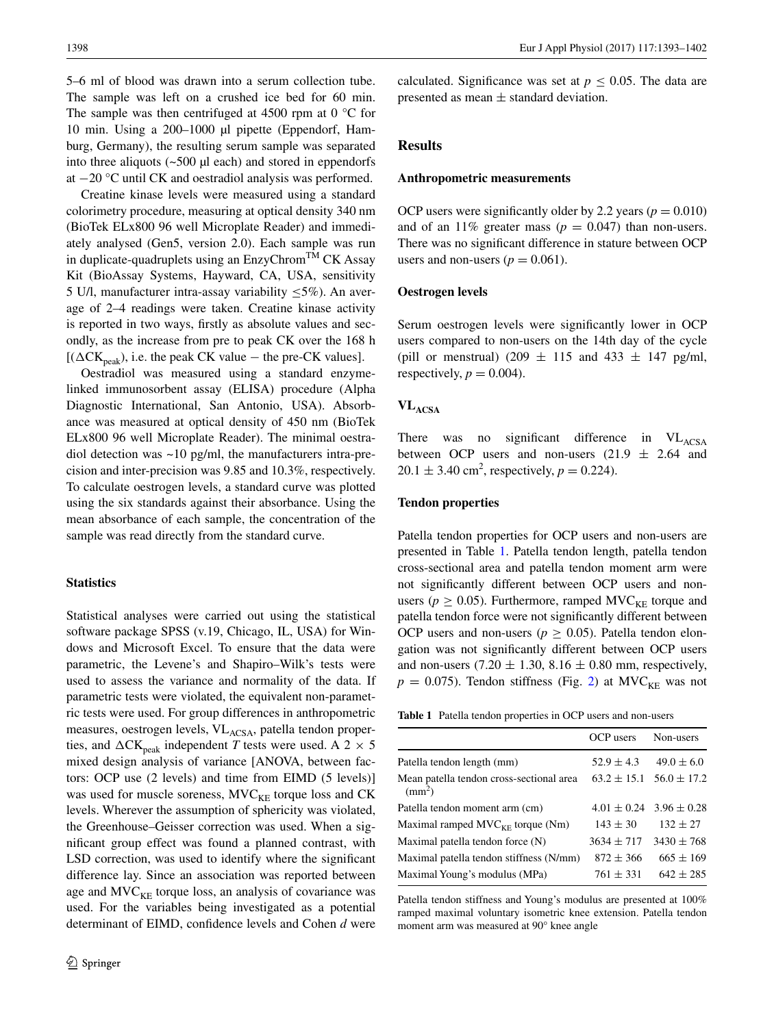5–6 ml of blood was drawn into a serum collection tube. The sample was left on a crushed ice bed for 60 min. The sample was then centrifuged at 4500 rpm at  $0^{\circ}$ C for 10 min. Using a 200–1000 µl pipette (Eppendorf, Hamburg, Germany), the resulting serum sample was separated into three aliquots  $(-500 \mu l \text{ each})$  and stored in eppendorfs at −20 °C until CK and oestradiol analysis was performed.

Creatine kinase levels were measured using a standard colorimetry procedure, measuring at optical density 340 nm (BioTek ELx800 96 well Microplate Reader) and immediately analysed (Gen5, version 2.0). Each sample was run in duplicate-quadruplets using an  $EnzyChrom<sup>TM</sup> CK Assay$ Kit (BioAssay Systems, Hayward, CA, USA, sensitivity 5 U/l, manufacturer intra-assay variability  $\leq$ 5%). An average of 2–4 readings were taken. Creatine kinase activity is reported in two ways, frstly as absolute values and secondly, as the increase from pre to peak CK over the 168 h [( $\Delta$ CK<sub>peak</sub>), i.e. the peak CK value – the pre-CK values].

Oestradiol was measured using a standard enzymelinked immunosorbent assay (ELISA) procedure (Alpha Diagnostic International, San Antonio, USA). Absorbance was measured at optical density of 450 nm (BioTek ELx800 96 well Microplate Reader). The minimal oestradiol detection was ~10 pg/ml, the manufacturers intra-precision and inter-precision was 9.85 and 10.3%, respectively. To calculate oestrogen levels, a standard curve was plotted using the six standards against their absorbance. Using the mean absorbance of each sample, the concentration of the sample was read directly from the standard curve.

## **Statistics**

Statistical analyses were carried out using the statistical software package SPSS (v.19, Chicago, IL, USA) for Windows and Microsoft Excel. To ensure that the data were parametric, the Levene's and Shapiro–Wilk's tests were used to assess the variance and normality of the data. If parametric tests were violated, the equivalent non-parametric tests were used. For group differences in anthropometric measures, oestrogen levels, VL<sub>ACSA</sub>, patella tendon properties, and  $\Delta$ CK<sub>peak</sub> independent *T* tests were used. A 2  $\times$  5 mixed design analysis of variance [ANOVA, between factors: OCP use (2 levels) and time from EIMD (5 levels)] was used for muscle soreness,  $MVC<sub>KE</sub>$  torque loss and CK levels. Wherever the assumption of sphericity was violated, the Greenhouse–Geisser correction was used. When a signifcant group effect was found a planned contrast, with LSD correction, was used to identify where the signifcant difference lay. Since an association was reported between age and  $MVC<sub>KE</sub>$  torque loss, an analysis of covariance was used. For the variables being investigated as a potential determinant of EIMD, confdence levels and Cohen *d* were calculated. Significance was set at  $p < 0.05$ . The data are presented as mean ± standard deviation.

## **Results**

## **Anthropometric measurements**

OCP users were significantly older by 2.2 years ( $p = 0.010$ ) and of an 11% greater mass  $(p = 0.047)$  than non-users. There was no signifcant difference in stature between OCP users and non-users ( $p = 0.061$ ).

### **Oestrogen levels**

Serum oestrogen levels were signifcantly lower in OCP users compared to non-users on the 14th day of the cycle (pill or menstrual) (209  $\pm$  115 and 433  $\pm$  147 pg/ml, respectively,  $p = 0.004$ .

## **VLACSA**

There was no significant difference in VL<sub>ACSA</sub> between OCP users and non-users  $(21.9 \pm 2.64)$  and  $20.1 \pm 3.40 \text{ cm}^2$ , respectively,  $p = 0.224$ ).

#### **Tendon properties**

Patella tendon properties for OCP users and non-users are presented in Table [1](#page-5-0). Patella tendon length, patella tendon cross-sectional area and patella tendon moment arm were not signifcantly different between OCP users and nonusers ( $p \geq 0.05$ ). Furthermore, ramped MVC<sub>KE</sub> torque and patella tendon force were not signifcantly different between OCP users and non-users ( $p > 0.05$ ). Patella tendon elongation was not signifcantly different between OCP users and non-users  $(7.20 \pm 1.30, 8.16 \pm 0.80$  mm, respectively,  $p = 0.075$ ). Tendon stiffness (Fig. [2](#page-6-0)) at MVC<sub>KE</sub> was not

<span id="page-5-0"></span>**Table 1** Patella tendon properties in OCP users and non-users

|                                                          | OCP users       | Non-users       |
|----------------------------------------------------------|-----------------|-----------------|
| Patella tendon length (mm)                               | $52.9 \pm 4.3$  | $49.0 \pm 6.0$  |
| Mean patella tendon cross-sectional area<br>$\text{m}^2$ | $63.2 \pm 15.1$ | $56.0 \pm 17.2$ |
| Patella tendon moment arm (cm)                           | $4.01 \pm 0.24$ | $3.96 \pm 0.28$ |
| Maximal ramped $MVC_{KF}$ torque (Nm)                    | $143 \pm 30$    | $132 \pm 27$    |
| Maximal patella tendon force $(N)$                       | $3634 \pm 717$  | $3430 \pm 768$  |
| Maximal patella tendon stiffness (N/mm)                  | $872 \pm 366$   | $665 \pm 169$   |
| Maximal Young's modulus (MPa)                            | $761 \pm 331$   | $642 \pm 285$   |
|                                                          |                 |                 |

Patella tendon stiffness and Young's modulus are presented at 100% ramped maximal voluntary isometric knee extension. Patella tendon moment arm was measured at 90° knee angle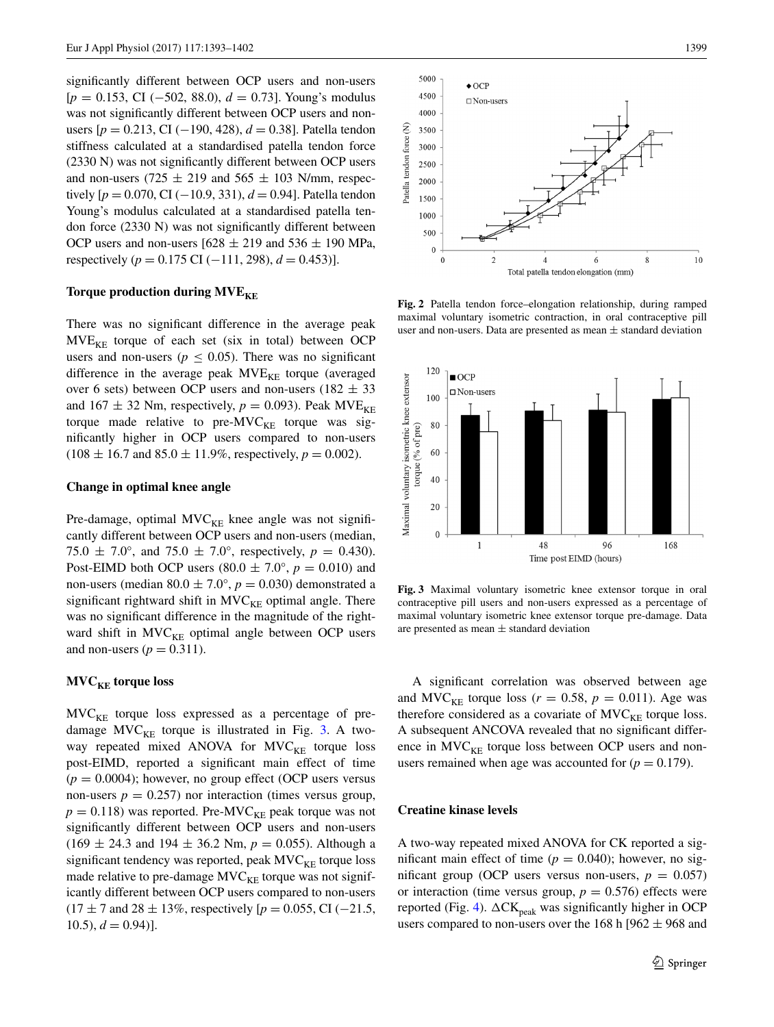signifcantly different between OCP users and non-users [*p* = 0.153, CI (−502, 88.0), *d* = 0.73]. Young's modulus was not signifcantly different between OCP users and nonusers [*p* = 0.213, CI (−190, 428), *d* = 0.38]. Patella tendon stiffness calculated at a standardised patella tendon force (2330 N) was not signifcantly different between OCP users and non-users (725  $\pm$  219 and 565  $\pm$  103 N/mm, respectively  $[p = 0.070, C1(-10.9, 331), d = 0.94]$ . Patella tendon Young's modulus calculated at a standardised patella tendon force (2330 N) was not signifcantly different between OCP users and non-users  $[628 \pm 219$  and  $536 \pm 190$  MPa, respectively ( $p = 0.175$  CI (−111, 298),  $d = 0.453$ ).

#### **Torque production during MVE<sub>KE</sub>**

There was no signifcant difference in the average peak  $MVE<sub>KF</sub>$  torque of each set (six in total) between OCP users and non-users ( $p \leq 0.05$ ). There was no significant difference in the average peak  $MVE_{KE}$  torque (averaged over 6 sets) between OCP users and non-users ( $182 \pm 33$ ) and  $167 \pm 32$  Nm, respectively,  $p = 0.093$ ). Peak MVE<sub>KE</sub> torque made relative to pre- $MVC_{KE}$  torque was signifcantly higher in OCP users compared to non-users  $(108 \pm 16.7 \text{ and } 85.0 \pm 11.9\% \text{, respectively, } p = 0.002)$ .

## **Change in optimal knee angle**

Pre-damage, optimal  $MVC_{KE}$  knee angle was not significantly different between OCP users and non-users (median, 75.0  $\pm$  7.0°, and 75.0  $\pm$  7.0°, respectively,  $p = 0.430$ ). Post-EIMD both OCP users  $(80.0 \pm 7.0^{\circ}, p = 0.010)$  and non-users (median  $80.0 \pm 7.0^{\circ}$ ,  $p = 0.030$ ) demonstrated a significant rightward shift in  $MVC<sub>KE</sub>$  optimal angle. There was no signifcant difference in the magnitude of the rightward shift in  $MVC<sub>KE</sub>$  optimal angle between OCP users and non-users  $(p = 0.311)$ .

## **MVC<sub>KE</sub>** torque loss

 $MVC<sub>KE</sub>$  torque loss expressed as a percentage of predamage  $MVC<sub>KE</sub>$  torque is illustrated in Fig. [3](#page-6-1). A twoway repeated mixed ANOVA for  $MVC<sub>KE</sub>$  torque loss post-EIMD, reported a signifcant main effect of time  $(p = 0.0004)$ ; however, no group effect (OCP users versus non-users  $p = 0.257$ ) nor interaction (times versus group,  $p = 0.118$ ) was reported. Pre-MVC<sub>KE</sub> peak torque was not signifcantly different between OCP users and non-users  $(169 \pm 24.3 \text{ and } 194 \pm 36.2 \text{ Nm}, p = 0.055)$ . Although a significant tendency was reported, peak  $MVC_{KE}$  torque loss made relative to pre-damage  $MVC_{KE}$  torque was not significantly different between OCP users compared to non-users (17 ± 7 and 28 ± 13%, respectively [*p* = 0.055, CI (−21.5,  $10.5$ ,  $d = 0.94$ ].



<span id="page-6-0"></span>**Fig. 2** Patella tendon force–elongation relationship, during ramped maximal voluntary isometric contraction, in oral contraceptive pill user and non-users. Data are presented as mean  $\pm$  standard deviation



<span id="page-6-1"></span>**Fig. 3** Maximal voluntary isometric knee extensor torque in oral contraceptive pill users and non-users expressed as a percentage of maximal voluntary isometric knee extensor torque pre-damage. Data are presented as mean  $\pm$  standard deviation

A signifcant correlation was observed between age and MVC<sub>KE</sub> torque loss ( $r = 0.58$ ,  $p = 0.011$ ). Age was therefore considered as a covariate of  $MVC_{KE}$  torque loss. A subsequent ANCOVA revealed that no signifcant difference in  $MVC<sub>KE</sub>$  torque loss between OCP users and nonusers remained when age was accounted for  $(p = 0.179)$ .

#### **Creatine kinase levels**

A two-way repeated mixed ANOVA for CK reported a significant main effect of time ( $p = 0.040$ ); however, no significant group (OCP users versus non-users,  $p = 0.057$ ) or interaction (time versus group,  $p = 0.576$ ) effects were reported (Fig. [4](#page-7-0)).  $\Delta$ CK<sub>peak</sub> was significantly higher in OCP users compared to non-users over the 168 h [962  $\pm$  968 and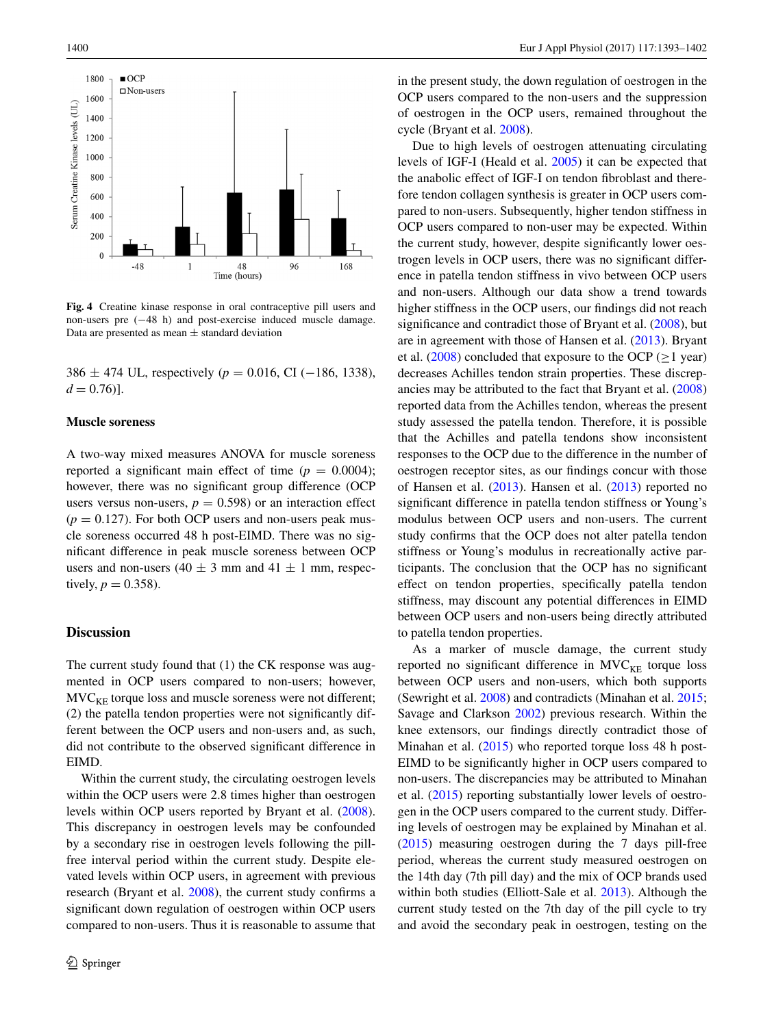

<span id="page-7-0"></span>**Fig. 4** Creatine kinase response in oral contraceptive pill users and non-users pre (−48 h) and post-exercise induced muscle damage. Data are presented as mean  $\pm$  standard deviation

386 ± 474 UL, respectively (*p* = 0.016, CI (−186, 1338),  $d = 0.76$ ].

#### **Muscle soreness**

A two-way mixed measures ANOVA for muscle soreness reported a significant main effect of time  $(p = 0.0004)$ ; however, there was no signifcant group difference (OCP users versus non-users,  $p = 0.598$  or an interaction effect  $(p = 0.127)$ . For both OCP users and non-users peak muscle soreness occurred 48 h post-EIMD. There was no signifcant difference in peak muscle soreness between OCP users and non-users (40  $\pm$  3 mm and 41  $\pm$  1 mm, respectively,  $p = 0.358$ ).

## **Discussion**

The current study found that (1) the CK response was augmented in OCP users compared to non-users; however,  $MVC<sub>KF</sub>$  torque loss and muscle soreness were not different; (2) the patella tendon properties were not signifcantly different between the OCP users and non-users and, as such, did not contribute to the observed signifcant difference in EIMD.

Within the current study, the circulating oestrogen levels within the OCP users were 2.8 times higher than oestrogen levels within OCP users reported by Bryant et al. [\(2008](#page-9-6)). This discrepancy in oestrogen levels may be confounded by a secondary rise in oestrogen levels following the pillfree interval period within the current study. Despite elevated levels within OCP users, in agreement with previous research (Bryant et al. [2008](#page-9-6)), the current study confrms a signifcant down regulation of oestrogen within OCP users compared to non-users. Thus it is reasonable to assume that in the present study, the down regulation of oestrogen in the OCP users compared to the non-users and the suppression of oestrogen in the OCP users, remained throughout the cycle (Bryant et al. [2008\)](#page-9-6).

Due to high levels of oestrogen attenuating circulating levels of IGF-I (Heald et al. [2005\)](#page-9-18) it can be expected that the anabolic effect of IGF-I on tendon fbroblast and therefore tendon collagen synthesis is greater in OCP users compared to non-users. Subsequently, higher tendon stiffness in OCP users compared to non-user may be expected. Within the current study, however, despite signifcantly lower oestrogen levels in OCP users, there was no signifcant difference in patella tendon stiffness in vivo between OCP users and non-users. Although our data show a trend towards higher stiffness in the OCP users, our fndings did not reach signifcance and contradict those of Bryant et al. ([2008\)](#page-9-6), but are in agreement with those of Hansen et al. ([2013\)](#page-9-19). Bryant et al. ([2008\)](#page-9-6) concluded that exposure to the OCP ( $\geq$ 1 year) decreases Achilles tendon strain properties. These discrepancies may be attributed to the fact that Bryant et al. ([2008\)](#page-9-6) reported data from the Achilles tendon, whereas the present study assessed the patella tendon. Therefore, it is possible that the Achilles and patella tendons show inconsistent responses to the OCP due to the difference in the number of oestrogen receptor sites, as our fndings concur with those of Hansen et al. [\(2013](#page-9-19)). Hansen et al. [\(2013](#page-9-19)) reported no signifcant difference in patella tendon stiffness or Young's modulus between OCP users and non-users. The current study confrms that the OCP does not alter patella tendon stiffness or Young's modulus in recreationally active participants. The conclusion that the OCP has no signifcant effect on tendon properties, specifcally patella tendon stiffness, may discount any potential differences in EIMD between OCP users and non-users being directly attributed to patella tendon properties.

As a marker of muscle damage, the current study reported no significant difference in  $MVC_{KE}$  torque loss between OCP users and non-users, which both supports (Sewright et al. [2008\)](#page-9-1) and contradicts (Minahan et al. [2015](#page-9-8); Savage and Clarkson [2002](#page-9-34)) previous research. Within the knee extensors, our fndings directly contradict those of Minahan et al. ([2015\)](#page-9-8) who reported torque loss 48 h post-EIMD to be signifcantly higher in OCP users compared to non-users. The discrepancies may be attributed to Minahan et al. ([2015\)](#page-9-8) reporting substantially lower levels of oestrogen in the OCP users compared to the current study. Differing levels of oestrogen may be explained by Minahan et al. [\(2015](#page-9-8)) measuring oestrogen during the 7 days pill-free period, whereas the current study measured oestrogen on the 14th day (7th pill day) and the mix of OCP brands used within both studies (Elliott-Sale et al. [2013\)](#page-9-4). Although the current study tested on the 7th day of the pill cycle to try and avoid the secondary peak in oestrogen, testing on the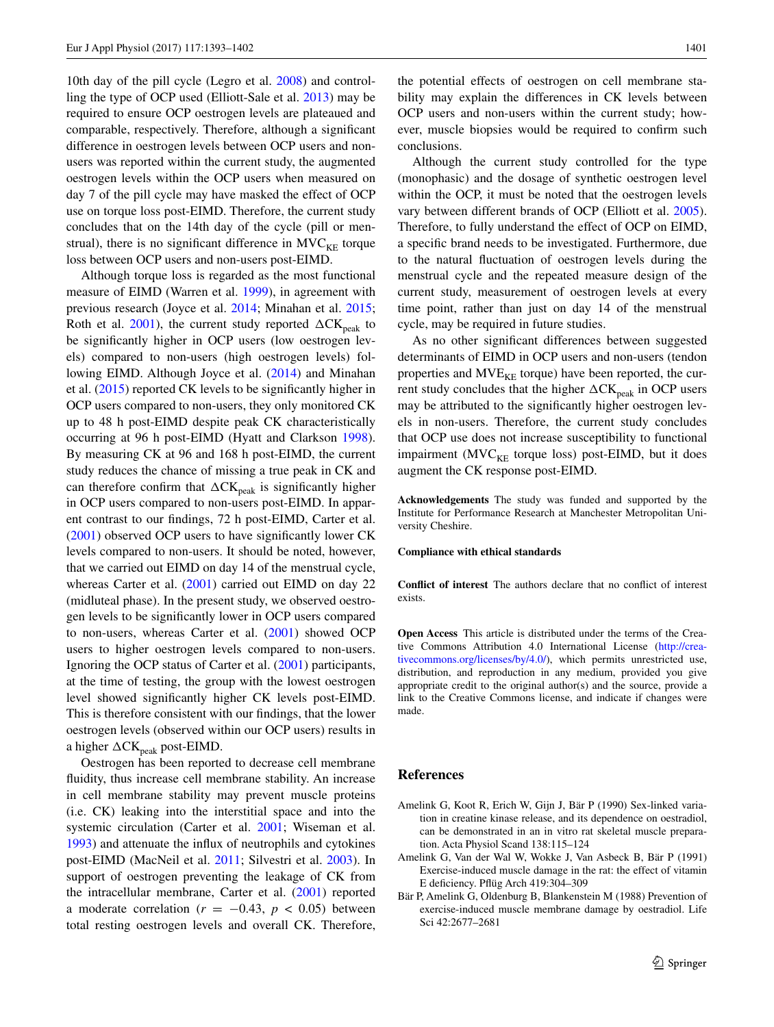10th day of the pill cycle (Legro et al. [2008\)](#page-9-23) and controlling the type of OCP used (Elliott-Sale et al. [2013](#page-9-4)) may be required to ensure OCP oestrogen levels are plateaued and comparable, respectively. Therefore, although a signifcant difference in oestrogen levels between OCP users and nonusers was reported within the current study, the augmented oestrogen levels within the OCP users when measured on day 7 of the pill cycle may have masked the effect of OCP use on torque loss post-EIMD. Therefore, the current study concludes that on the 14th day of the cycle (pill or menstrual), there is no significant difference in  $MVC_{KE}$  torque loss between OCP users and non-users post-EIMD.

Although torque loss is regarded as the most functional measure of EIMD (Warren et al. [1999\)](#page-9-35), in agreement with previous research (Joyce et al. [2014;](#page-9-0) Minahan et al. [2015](#page-9-8); Roth et al. [2001\)](#page-9-36), the current study reported  $\Delta$ CK<sub>peak</sub> to be signifcantly higher in OCP users (low oestrogen levels) compared to non-users (high oestrogen levels) following EIMD. Although Joyce et al. ([2014\)](#page-9-0) and Minahan et al. [\(2015](#page-9-8)) reported CK levels to be signifcantly higher in OCP users compared to non-users, they only monitored CK up to 48 h post-EIMD despite peak CK characteristically occurring at 96 h post-EIMD (Hyatt and Clarkson [1998](#page-9-37)). By measuring CK at 96 and 168 h post-EIMD, the current study reduces the chance of missing a true peak in CK and can therefore confirm that  $\Delta$ CK<sub>peak</sub> is significantly higher in OCP users compared to non-users post-EIMD. In apparent contrast to our fndings, 72 h post-EIMD, Carter et al. [\(2001](#page-9-2)) observed OCP users to have signifcantly lower CK levels compared to non-users. It should be noted, however, that we carried out EIMD on day 14 of the menstrual cycle, whereas Carter et al. ([2001\)](#page-9-2) carried out EIMD on day 22 (midluteal phase). In the present study, we observed oestrogen levels to be signifcantly lower in OCP users compared to non-users, whereas Carter et al. ([2001\)](#page-9-2) showed OCP users to higher oestrogen levels compared to non-users. Ignoring the OCP status of Carter et al. [\(2001](#page-9-2)) participants, at the time of testing, the group with the lowest oestrogen level showed signifcantly higher CK levels post-EIMD. This is therefore consistent with our fndings, that the lower oestrogen levels (observed within our OCP users) results in a higher  $\Delta$ CK<sub>peak</sub> post-EIMD.

Oestrogen has been reported to decrease cell membrane fuidity, thus increase cell membrane stability. An increase in cell membrane stability may prevent muscle proteins (i.e. CK) leaking into the interstitial space and into the systemic circulation (Carter et al. [2001;](#page-9-2) Wiseman et al. [1993](#page-9-38)) and attenuate the infux of neutrophils and cytokines post-EIMD (MacNeil et al. [2011](#page-9-39); Silvestri et al. [2003\)](#page-9-40). In support of oestrogen preventing the leakage of CK from the intracellular membrane, Carter et al. [\(2001](#page-9-2)) reported a moderate correlation ( $r = -0.43$ ,  $p < 0.05$ ) between total resting oestrogen levels and overall CK. Therefore,

the potential effects of oestrogen on cell membrane stability may explain the differences in CK levels between OCP users and non-users within the current study; however, muscle biopsies would be required to confrm such conclusions.

Although the current study controlled for the type (monophasic) and the dosage of synthetic oestrogen level within the OCP, it must be noted that the oestrogen levels vary between different brands of OCP (Elliott et al. [2005](#page-9-24)). Therefore, to fully understand the effect of OCP on EIMD, a specifc brand needs to be investigated. Furthermore, due to the natural fuctuation of oestrogen levels during the menstrual cycle and the repeated measure design of the current study, measurement of oestrogen levels at every time point, rather than just on day 14 of the menstrual cycle, may be required in future studies.

As no other signifcant differences between suggested determinants of EIMD in OCP users and non-users (tendon properties and  $MVE<sub>KE</sub>$  torque) have been reported, the current study concludes that the higher  $\Delta$ CK<sub>peak</sub> in OCP users may be attributed to the signifcantly higher oestrogen levels in non-users. Therefore, the current study concludes that OCP use does not increase susceptibility to functional impairment ( $MVC<sub>KF</sub>$  torque loss) post-EIMD, but it does augment the CK response post-EIMD.

**Acknowledgements** The study was funded and supported by the Institute for Performance Research at Manchester Metropolitan University Cheshire.

#### **Compliance with ethical standards**

**Confict of interest** The authors declare that no confict of interest exists.

**Open Access** This article is distributed under the terms of the Creative Commons Attribution 4.0 International License ([http://crea](http://creativecommons.org/licenses/by/4.0/)[tivecommons.org/licenses/by/4.0/](http://creativecommons.org/licenses/by/4.0/)), which permits unrestricted use, distribution, and reproduction in any medium, provided you give appropriate credit to the original author(s) and the source, provide a link to the Creative Commons license, and indicate if changes were made.

#### **References**

- <span id="page-8-0"></span>Amelink G, Koot R, Erich W, Gijn J, Bär P (1990) Sex-linked variation in creatine kinase release, and its dependence on oestradiol, can be demonstrated in an in vitro rat skeletal muscle preparation. Acta Physiol Scand 138:115–124
- <span id="page-8-1"></span>Amelink G, Van der Wal W, Wokke J, Van Asbeck B, Bär P (1991) Exercise-induced muscle damage in the rat: the effect of vitamin E defciency. Pfüg Arch 419:304–309
- <span id="page-8-2"></span>Bär P, Amelink G, Oldenburg B, Blankenstein M (1988) Prevention of exercise-induced muscle membrane damage by oestradiol. Life Sci 42:2677–2681